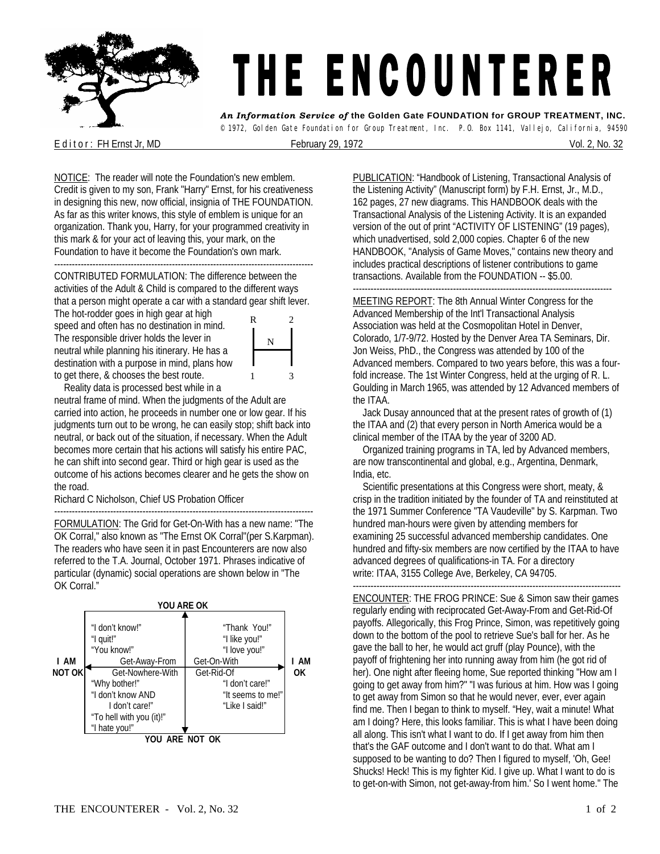

## THE ENCOUNTERER

*An Information Service of* **the Golden Gate FOUNDATION for GROUP TREATMENT, INC.**  © 1972, Golden Gate Foundation for Group Treatment, Inc. P.O. Box 1141, Vallejo, California, 94590

E d it or : FH Ernst Jr, MD **February 29, 1972** Contract the State of the State of the State of Technical State of Technical State of the State of Technical State of Technical State of Technical State of Technical State of

NOTICE: The reader will note the Foundation's new emblem. Credit is given to my son, Frank "Harry" Ernst, for his creativeness in designing this new, now official, insignia of THE FOUNDATION. As far as this writer knows, this style of emblem is unique for an organization. Thank you, Harry, for your programmed creativity in this mark & for your act of leaving this, your mark, on the Foundation to have it become the Foundation's own mark.

---------------------------------------------------------------------------------------- CONTRIBUTED FORMULATION: The difference between the activities of the Adult & Child is compared to the different ways that a person might operate a car with a standard gear shift lever.

The hot-rodder goes in high gear at high speed and often has no destination in mind. The responsible driver holds the lever in neutral while planning his itinerary. He has a destination with a purpose in mind, plans how to get there, & chooses the best route.



Reality data is processed best while in a

neutral frame of mind. When the judgments of the Adult are carried into action, he proceeds in number one or low gear. If his judgments turn out to be wrong, he can easily stop; shift back into neutral, or back out of the situation, if necessary. When the Adult becomes more certain that his actions will satisfy his entire PAC, he can shift into second gear. Third or high gear is used as the outcome of his actions becomes clearer and he gets the show on the road.

Richard C Nicholson, Chief US Probation Officer

---------------------------------------------------------------------------------------- FORMULATION: The Grid for Get-On-With has a new name: "The OK Corral," also known as "The Ernst OK Corral"(per S.Karpman). The readers who have seen it in past Encounterers are now also referred to the T.A. Journal, October 1971. Phrases indicative of particular (dynamic) social operations are shown below in "The OK Corral."



PUBLICATION: "Handbook of Listening, Transactional Analysis of the Listening Activity" (Manuscript form) by F.H. Ernst, Jr., M.D., 162 pages, 27 new diagrams. This HANDBOOK deals with the Transactional Analysis of the Listening Activity. It is an expanded version of the out of print "ACTIVITY OF LISTENING" (19 pages), which unadvertised, sold 2,000 copies. Chapter 6 of the new HANDBOOK, "Analysis of Game Moves," contains new theory and includes practical descriptions of listener contributions to game transactions. Available from the FOUNDATION -- \$5.00.

----------------------------------------------------------------------------------------

MEETING REPORT: The 8th Annual Winter Congress for the Advanced Membership of the Int'l Transactional Analysis Association was held at the Cosmopolitan Hotel in Denver, Colorado, 1/7-9/72. Hosted by the Denver Area TA Seminars, Dir. Jon Weiss, PhD., the Congress was attended by 100 of the Advanced members. Compared to two years before, this was a fourfold increase. The 1st Winter Congress, held at the urging of R. L. Goulding in March 1965, was attended by 12 Advanced members of the ITAA.

 Jack Dusay announced that at the present rates of growth of (1) the ITAA and (2) that every person in North America would be a clinical member of the ITAA by the year of 3200 AD.

Organized training programs in TA, led by Advanced members, are now transcontinental and global, e.g., Argentina, Denmark, India, etc.

 Scientific presentations at this Congress were short, meaty, & crisp in the tradition initiated by the founder of TA and reinstituted at the 1971 Summer Conference "TA Vaudeville" by S. Karpman. Two hundred man-hours were given by attending members for examining 25 successful advanced membership candidates. One hundred and fifty-six members are now certified by the ITAA to have advanced degrees of qualifications-in TA. For a directory write: ITAA, 3155 College Ave, Berkeley, CA 94705.

------------------------------------------------------------------------------------------- ENCOUNTER: THE FROG PRINCE: Sue & Simon saw their games regularly ending with reciprocated Get-Away-From and Get-Rid-Of payoffs. Allegorically, this Frog Prince, Simon, was repetitively going down to the bottom of the pool to retrieve Sue's ball for her. As he gave the ball to her, he would act gruff (play Pounce), with the payoff of frightening her into running away from him (he got rid of her). One night after fleeing home, Sue reported thinking "How am I going to get away from him?" "I was furious at him. How was I going to get away from Simon so that he would never, ever, ever again find me. Then I began to think to myself. "Hey, wait a minute! What am I doing? Here, this looks familiar. This is what I have been doing all along. This isn't what I want to do. If I get away from him then that's the GAF outcome and I don't want to do that. What am I supposed to be wanting to do? Then I figured to myself, 'Oh, Gee! Shucks! Heck! This is my fighter Kid. I give up. What I want to do is to get-on-with Simon, not get-away-from him.' So I went home." The